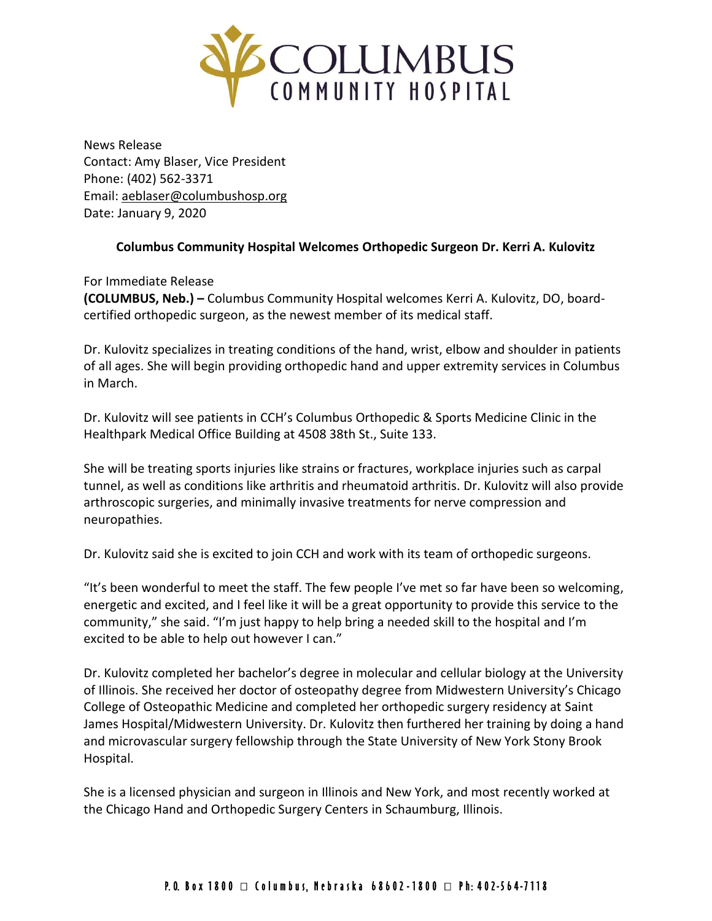

News Release Contact: Amy Blaser, Vice President Phone: (402) 562-3371 Email: [aeblaser@columbushosp.org](mailto:aeblaser@columbushosp.org) Date: January 9, 2020

## **Columbus Community Hospital Welcomes Orthopedic Surgeon Dr. Kerri A. Kulovitz**

For Immediate Release **(COLUMBUS, Neb.) –** Columbus Community Hospital welcomes Kerri A. Kulovitz, DO, boardcertified orthopedic surgeon, as the newest member of its medical staff.

Dr. Kulovitz specializes in treating conditions of the hand, wrist, elbow and shoulder in patients of all ages. She will begin providing orthopedic hand and upper extremity services in Columbus in March.

Dr. Kulovitz will see patients in CCH's Columbus Orthopedic & Sports Medicine Clinic in the Healthpark Medical Office Building at 4508 38th St., Suite 133.

She will be treating sports injuries like strains or fractures, workplace injuries such as carpal tunnel, as well as conditions like arthritis and rheumatoid arthritis. Dr. Kulovitz will also provide arthroscopic surgeries, and minimally invasive treatments for nerve compression and neuropathies.

Dr. Kulovitz said she is excited to join CCH and work with its team of orthopedic surgeons.

"It's been wonderful to meet the staff. The few people I've met so far have been so welcoming, energetic and excited, and I feel like it will be a great opportunity to provide this service to the community," she said. "I'm just happy to help bring a needed skill to the hospital and I'm excited to be able to help out however I can."

Dr. Kulovitz completed her bachelor's degree in molecular and cellular biology at the University of Illinois. She received her doctor of osteopathy degree from Midwestern University's Chicago College of Osteopathic Medicine and completed her orthopedic surgery residency at Saint James Hospital/Midwestern University. Dr. Kulovitz then furthered her training by doing a hand and microvascular surgery fellowship through the State University of New York Stony Brook Hospital.

She is a licensed physician and surgeon in Illinois and New York, and most recently worked at the Chicago Hand and Orthopedic Surgery Centers in Schaumburg, Illinois.